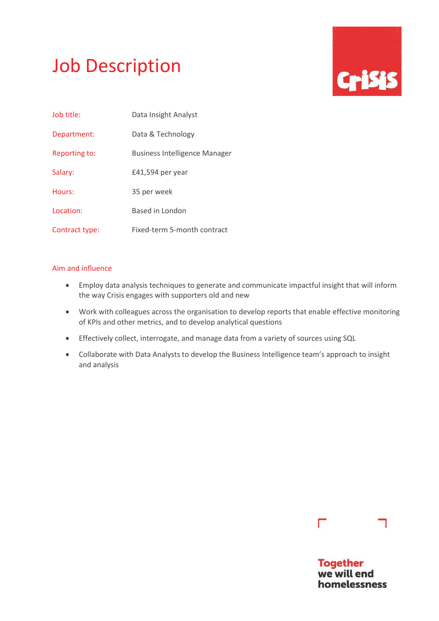# Job Description



| Job title:     | Data Insight Analyst                 |
|----------------|--------------------------------------|
| Department:    | Data & Technology                    |
| Reporting to:  | <b>Business Intelligence Manager</b> |
| Salary:        | £41,594 per year                     |
| Hours:         | 35 per week                          |
| Location:      | Based in London                      |
| Contract type: | Fixed-term 5-month contract          |

# Aim and influence

- Employ data analysis techniques to generate and communicate impactful insight that will inform the way Crisis engages with supporters old and new
- Work with colleagues across the organisation to develop reports that enable effective monitoring of KPIs and other metrics, and to develop analytical questions
- Effectively collect, interrogate, and manage data from a variety of sources using SQL
- Collaborate with Data Analysts to develop the Business Intelligence team's approach to insight and analysis

# Г

**Together** we will end homelessness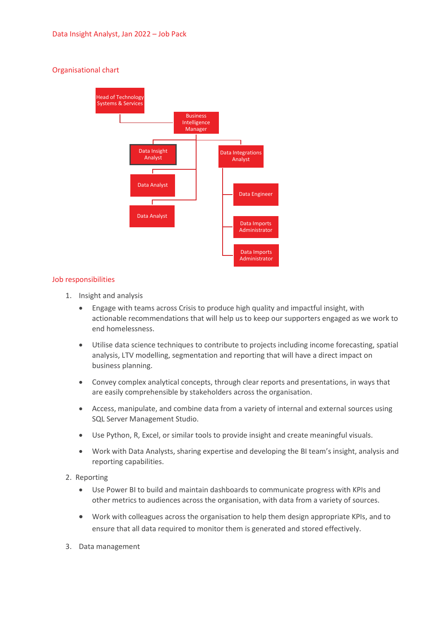# Organisational chart



# Job responsibilities

- 1. Insight and analysis
	- Engage with teams across Crisis to produce high quality and impactful insight, with actionable recommendations that will help us to keep our supporters engaged as we work to end homelessness.
	- Utilise data science techniques to contribute to projects including income forecasting, spatial analysis, LTV modelling, segmentation and reporting that will have a direct impact on business planning.
	- Convey complex analytical concepts, through clear reports and presentations, in ways that are easily comprehensible by stakeholders across the organisation.
	- Access, manipulate, and combine data from a variety of internal and external sources using SQL Server Management Studio.
	- Use Python, R, Excel, or similar tools to provide insight and create meaningful visuals.
	- Work with Data Analysts, sharing expertise and developing the BI team's insight, analysis and reporting capabilities.
- 2. Reporting
	- Use Power BI to build and maintain dashboards to communicate progress with KPIs and other metrics to audiences across the organisation, with data from a variety of sources.
	- Work with colleagues across the organisation to help them design appropriate KPIs, and to ensure that all data required to monitor them is generated and stored effectively.
- 3. Data management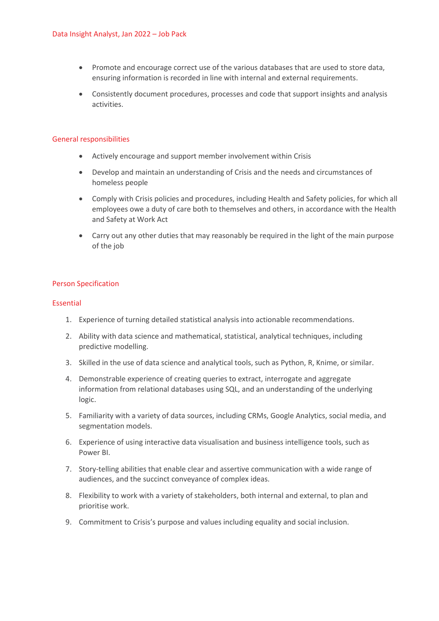- Promote and encourage correct use of the various databases that are used to store data, ensuring information is recorded in line with internal and external requirements.
- Consistently document procedures, processes and code that support insights and analysis activities.

#### General responsibilities

- Actively encourage and support member involvement within Crisis
- Develop and maintain an understanding of Crisis and the needs and circumstances of homeless people
- Comply with Crisis policies and procedures, including Health and Safety policies, for which all employees owe a duty of care both to themselves and others, in accordance with the Health and Safety at Work Act
- Carry out any other duties that may reasonably be required in the light of the main purpose of the job

#### Person Specification

#### Essential

- 1. Experience of turning detailed statistical analysis into actionable recommendations.
- 2. Ability with data science and mathematical, statistical, analytical techniques, including predictive modelling.
- 3. Skilled in the use of data science and analytical tools, such as Python, R, Knime, or similar.
- 4. Demonstrable experience of creating queries to extract, interrogate and aggregate information from relational databases using SQL, and an understanding of the underlying logic.
- 5. Familiarity with a variety of data sources, including CRMs, Google Analytics, social media, and segmentation models.
- 6. Experience of using interactive data visualisation and business intelligence tools, such as Power BI.
- 7. Story-telling abilities that enable clear and assertive communication with a wide range of audiences, and the succinct conveyance of complex ideas.
- 8. Flexibility to work with a variety of stakeholders, both internal and external, to plan and prioritise work.
- 9. Commitment to Crisis's purpose and values including equality and social inclusion.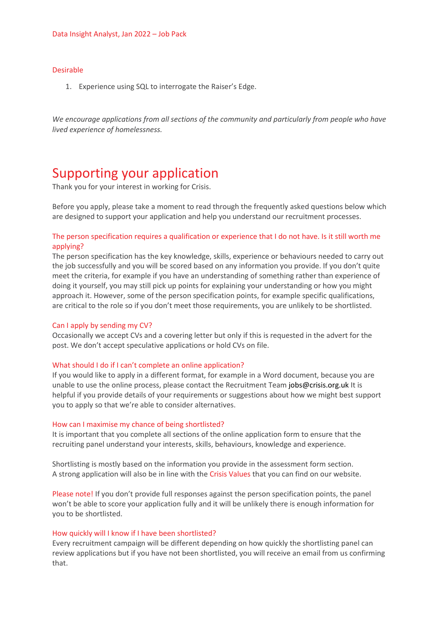#### Desirable

1. Experience using SQL to interrogate the Raiser's Edge.

*We encourage applications from all sections of the community and particularly from people who have lived experience of homelessness.*

# Supporting your application

Thank you for your interest in working for Crisis.

Before you apply, please take a moment to read through the frequently asked questions below which are designed to support your application and help you understand our recruitment processes.

# The person specification requires a qualification or experience that I do not have. Is it still worth me applying?

The person specification has the key knowledge, skills, experience or behaviours needed to carry out the job successfully and you will be scored based on any information you provide. If you don't quite meet the criteria, for example if you have an understanding of something rather than experience of doing it yourself, you may still pick up points for explaining your understanding or how you might approach it. However, some of the person specification points, for example specific qualifications, are critical to the role so if you don't meet those requirements, you are unlikely to be shortlisted.

#### Can I apply by sending my CV?

Occasionally we accept CVs and a covering letter but only if this is requested in the advert for the post. We don't accept speculative applications or hold CVs on file.

#### What should I do if I can't complete an online application?

If you would like to apply in a different format, for example in a Word document, because you are unable to use the online process, please contact the Recruitment Team [jobs@crisis.org.uk](http://#) It is helpful if you provide details of your requirements or suggestions about how we might best support you to apply so that we're able to consider alternatives.

#### How can I maximise my chance of being shortlisted?

It is important that you complete all sections of the online application form to ensure that the recruiting panel understand your interests, skills, behaviours, knowledge and experience.

Shortlisting is mostly based on the information you provide in the assessment form section. A strong application will also be in line with the Crisis Values that you can find on our website.

Please note! If you don't provide full responses against the person specification points, the panel won't be able to score your application fully and it will be unlikely there is enough information for you to be shortlisted.

#### How quickly will I know if I have been shortlisted?

Every recruitment campaign will be different depending on how quickly the shortlisting panel can review applications but if you have not been shortlisted, you will receive an email from us confirming that.